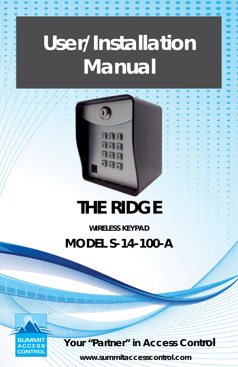# **User/Installation Manual**

# **The Ridge**

 $\sqrt{1273}$  $\overline{4}$  $\sqrt{5}$  $787$ Hola

**Wireless Keypad**

**MODEL S-14-100-a**



**Your** *"Partner"* **in Access Control**

**www.summitaccesscontrol.com**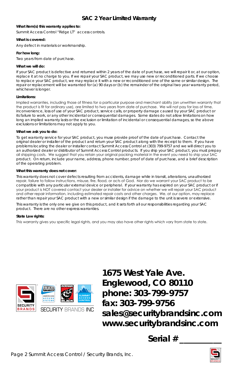#### **SAC 2 Year Limited Warranty**

#### **What item(s) this warranty applies to:**

Summit Access Control "Ridge LT" access controls.

#### **What is covered:**

Any defect in materials or workmanship.

#### **For how long:**

Two years from date of purchase.

#### **What we will do:**

If your SAC product is defective and returned within 2 years of the date of purchase, we will repair it or, at our option, replace it at no charge to you. If we repair your SAC product, we may use new or reconditioned parts. If we choose to replace your SAC product, we may replace it with a new or reconditioned one of the same or similar design. The repair or replacement will be warranted for (a) 90 days or (b) the remainder of the original two year warranty period, whichever is longer.

#### **Limitations:**

Implied warranties, including those of fitness for a particular purpose and merchant ability (an unwritten warranty that the product is fit for ordinary use), are limited to two years from date of purchase. We will not pay for loss of time, inconvenience, loss of use of your SAC product, service calls, or property damage caused by your SAC product or its failure to work, or any other incidental or consequential damages. Some states do not allow limitations on how long an implied warranty lasts or the exclusion or limitation of incidental or consequential damages, so the above exclusions or limitations may not apply to you.

#### **What we ask you to do:**

To get warranty service for your SAC product, you muse provide proof of the date of purchase. Contact the original dealer or installer of the product and return your SAC product along with the receipt to them. If you have problems locating the dealer or installer contact Summit Access Control at (303) 799-9757 and we will direct you to an authorized dealer or distributor of Summit Access Control products. If you ship your SAC product, you must prepay all shipping costs. We suggest that you retain your original packing material in the event you need to ship your SAC product. On return, include your name, address, phone number, proof of date of purchase, and a brief description of the operating problem.

#### **What this warranty does not cover:**

This warranty does not cover defects resulting from accidents, damage while in transit, alterations, unauthorized repair, failure to follow instructions, misuse, fire, flood, or acts of God. Nor do we warrant your SAC product to be compatible with any particular external device or peripheral. If your warranty has expired on your SAC product or if your product is NOT covered contact your dealer or installer for advice on whether we will repair your SAC product and other repair information, including estimated repair costs and other charges. We, at our option, may replace rather than repair your SAC product with a new or similar design if the damage to the unit is severe or extensive.

This warranty is the only one we give on this product, and it sets forth all our responsibilities regarding your SAC product. There are no other express warranties.

#### **State Law rights:**

This warranty gives you specific legal rights, and you may also have other rights which vary from state to state.



**1675 West Yale Ave. Englewood, CO 80110 phone: 303-799-9757 fax: 303-799-9756 sales@securitybrandsinc.com www.securitybrandsinc.com**

**Serial # \_\_\_\_\_\_\_\_\_\_**

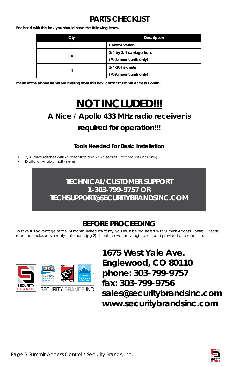# **PARTS CHECKLIST**

**Enclosed with this box you should have the following items.** 

| Qty | Description               |
|-----|---------------------------|
|     | <b>Control Station</b>    |
| 4   | 1/4 by 3/4 carriage bolts |
|     | (Post mount units only)   |
|     | $1/4-20$ hex nuts         |
|     | (Post mount units only)   |

**If any of the above items are missing from this box, contact Summit Access Control**

# **NOT INCLUDED!!!**

# **A Nice / Apollo 433 MHz radio receiver is required for operation!!!**

### **Tools Needed For Basic Installation**

- 3/8" drive ratchet with 6" extension and 7/16" socket (Post mount units only)
- Digital or Analog multi-meter

# **Technical/Customer Support 1-303-799-9757 or techsupport@securitybrandsinc.com**

# **BEFORE PROCEEDING**

To take full advantage of the 24 month limited warranty, you must be registered with Summit Access Control. Please read the enclosed warranty statement, (pg 2), fill out the warranty registration card provided and send it to:



**1675 West Yale Ave. Englewood, CO 80110 phone: 303-799-9757 fax: 303-799-9756 sales@securitybrandsinc.com www.securitybrandsinc.com**

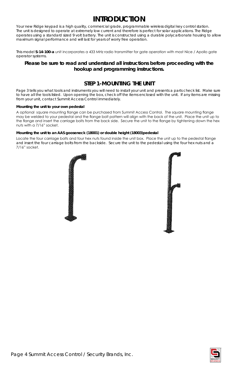## **INTRODUCTION**

Your new Ridge keypad is a high quality, commercial grade, programmable wireless digital key control station. The unit is designed to operate at extremely low current and therefore is perfect for solar applications. The Ridge operates using a standard sized 9 volt battery. The unit is constructed using a durable polycarbonate housing to allow maximum signal performance and will last for years of worry free operation.

This model **S-14-100-a** unit incorporates a 433 MHz radio transmitter for gate operation with most Nice / Apollo gate operator systems.

#### **Please be sure to read and understand all instructions before proceeding with the hookup and programming instructions.**

#### **STEP 1-MOUNTING THE UNIT**

Page 3 tells you what tools and instruments you will need to install your unit and presents a parts check list. Make sure to have all the tools listed. Upon opening the box, check off the items enclosed with the unit. If any items are missing from your unit, contact Summit Access Control immediately.

#### **Mounting the unit to your own pedestal**

A optional square mounting flange can be purchased from Summit Access Control. The square mounting flange may be welded to your pedestal and the flange bolt pattern will align with the back of the unit. Place the unit up to the flange and insert the carriage bolts from the back side. Secure the unit to the flange by tightening down the hex nuts with a 7/16" socket.

#### **Mounting the unit to an AAS gooseneck (18001) or double height (18003)pedestal**

Locate the four carriage bolts and four hex nuts found inside the unit box. Place the unit up to the pedestal flange and insert the four carriage bolts from the backside. Secure the unit to the pedestal using the four hex nuts and a 7/16" socket.





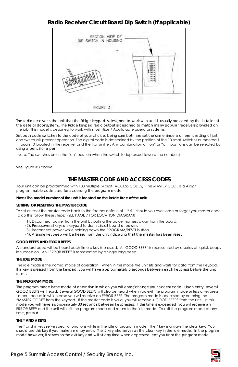#### **Radio Receiver Circuit Board Dip Switch (If applicable)**



The radio receiver is the unit that the Ridge keypad is designed to work with and is usually provided by the installer of the gate or door system.. The Ridge keypad radio output is designed to match many popular receivers provided on the job. This model is designed to work with most Nice / Apollo gate operator systems.

Set both code switches to the code of your choice, being sure both are set the same since a different setting of just one switch will prevent operation. The digital code is determined by the position of the 10 small switches numbered 1 through 10 located in the receiver and the transmitter. Any combination of "on" or "off" positions can be selected by using a pencil or a pen.

(Note: The switches are in the "on" position when the switch is depressed toward the number.)

See Figure #3 above.

#### **THE MASTER CODE AND ACCESS CODES**

Your unit can be programmed with 100 multiple (4 digit) ACCESS CODES, The MASTER CODE is a 4 digit programmable code used for accessing the program mode.

#### **Note: The model number of the unit is located on the inside face of the unit.**

#### **SETTING OR RESETTING THE MASTER CODE**

To set or reset the master code back to the factory default of 1 2 5 1 should you ever loose or forget you master code. To do this follow these steps: (SEE PAGE 7 FOR LOCATION DIAGRAM)

- (1). Disconnect power from the unit by pulling the power harness away from the board.
- (2). Press several keys on keypad to drain circuit board of power.
- (3). Reconnect power while holding down the PROGRAM/RESET button.
- (4). A single keybeep will be heard from the unit indicating that the master has been reset

#### **GOOD BEEPS AND ERROR BEEPS**

A standard beep will be heard each time a key is pressed. A "GOOD BEEP" is represented by a series of quick beeps in succession. An "ERROR BEEP" is represented by a single long beep.

#### **THE IDLE MODE**

The idle mode is the normal mode of operation. When in this mode the unit sits and waits for data from the keypad. If a key is pressed from the keypad, you will have approximately 5 seconds between each keypress before the unit resets.

#### **THE PROGRAM MODE**

The program mode is the mode of operation in which you will enter/change your access code. Upon entry, several GOOD BEEPS will heard. Several GOOD BEEPS will also be heard when you exit the program mode unless a keypress timeout occurs in which case you will receive an ERROR BEEP. The program mode is accessed by entering the "MASTER CODE" from the keypad. If the master code is valid, you will receive 4 GOOD BEEPS from the unit. In this mode you will have approximately 30 seconds between keypresses. If this time is exceeded, you will receive an ERROR BEEP and the unit will exit the program mode and return to the idle mode. To exit the program mode at any time, press #.

#### **THE \* AND # KEYS**

The \* and # keys serve specific functions while in the idle or program mode. The \* key is always the clear key. You should use this key if you make an entry error. The # key also serves as the clear key in the idle mode. In the program mode however, it serves as the exit key and will at any time when depressed, exit you from the program mode.

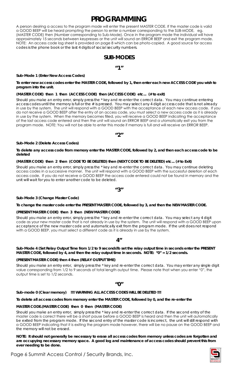### **PROGRAMMING**

A person desiring a access to the program mode will enter the present MASTER CODE. If the master code is valid a GOOD BEEP will be heard prompting the person to enter a number corresponding to the SUB-MODE, eg. (MASTER CODE) then (Number corrresponding to Sub-Mode). Once in the program mode the individual will have approximately 15 seconds between keypresses or the unit will sound an ERROR BEEP and exit the program mode. NOTE: An access code log sheet is provided on page 8 which can be photo-copied. A good source for access codes is the phone book or the last 4 digits of social security numbers.

#### **SUB-MODES**

**"1"**

#### **Sub-Mode 1 (Enter New Access Codes)**

**To enter new access codes enter the MASTER CODE, followed by 1, then enter each new ACCESS CODE you wish to program into the unit.**

#### **(MASTER CODE) then 1 then (ACCESS CODE) then (ACCESS CODE) etc... (# to exit)**

Should you make an entry error, simply press the \* key and re-enter the correct data. You may continue entering access codes until the memory is full or the # is pressed. You may select any 4 digit access code that is not already in use by the system. The unit will respond with a GOOD BEEP with the acceptance of each new access code. If you do not receive a GOOD BEEP after the entry of an access code, you must select a new access code as it is already in use by the system. When the memory becomes filled, you will receive a GOOD BEEP indicating the acceptance of the last access code entered and then the unit will sound an ERROR BEEP and a utomatically exit you from the program mode. NOTE: You will not be able to enter this mode if memory is full and will receive an ERROR BEEP.

**"2"**

#### **Sub-Mode 2 (Delete Access Codes)**

#### **To delete any access code from memory enter the MASTER CODE, followed by 2, and then each access code to be deleted**

#### **(MASTER CODE) then 2 then (CODE TO BE DELETED) then (NEXT CODE TO BE DELETED) etc... (# to Exit)**

Should you make an entry error, simply press the \* key and re-enter the correct data. You may continue deleting access codes in a successive manner. The unit will respond with a GOOD BEEP with the successful deletion of each access code. If you do not receive a GOOD BEEP the access code entered could not be found in memory and the unit will wait for you to enter another code to be deleted.

#### **"3"**

#### **Sub-Mode 3 (Change Master Code)**

#### **To change the master code enter the PRESENT MASTER CODE, followed by 3, and then the NEW MASTER CODE.**

#### **(PRESENT MASTER CODE) then 3 then (NEW MASTER CODE)**

Should you make an entry error, simply press the \* key and re-enter the correct data. You may select any 4 digit code as your new master code that is not already in use by the system. The unit will respond with a GOOD BEEP upon acceptance of the new master code and automatically exit from the program mode. If the unit does not respond with a GOOD BEEP, you must select a different code as it is already in use by the system.

**4"**

#### **Sub-Mode 4 (Set Relay Output Time from 1/2 to 9 secondsTo set the relay output time in seconds enter the PRESENT MASTER CODE, followed by 4, and then the relay output time in seconds. NOTE: "0" = 1/2 seconds.**

#### **(PRESENT MASTER CODE) then 4 then (RELAY OUTPUT TIME)**

Should you make an entry error, simply press the \* key and re-enter the correct data. You may enter any single digit value corresponding from 1/2 to 9 seconds of total length output time. Please note that when you enter "0", the output time is set to 1/2 seconds.

**"0"**

#### **Sub-mode 0 (Clear memory) !!!! WARNING ALL ACCESS CODES WILL BE DELETED !!!!**

#### **To delete all access codes from memory enter the MASTER CODE, followed by 0, and the re-enter the**

#### **MASTER CODE.(MASTER CODE) then 0 then (MASTER CODE)**

Should you make an entry error, simply press the \* key and re-enter the correct data. If the second entry of the master code is correct there will be a short pause before a GOOD BEEP is heard and then the unit will automatically be exited from the program mode. If the second entry of the master code is incorrect, the unit will still respond with a GOOD BEEP indicating that it is exiting the program mode however, there will be no pause on the GOOD BEEP and the memory will not be erased.

**NOTE: It should not generally be necessary to erase all access codes from memory unless codes are forgotten and are occupying necessary memory space. A good log and maintenance of access codes should prevent this from ever needing to be done.**

Page 6 Summit Access Control / Security Brands, Inc.

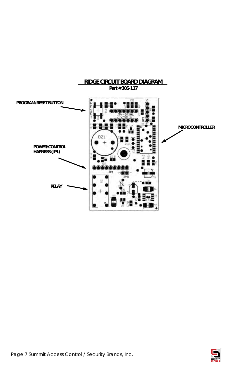



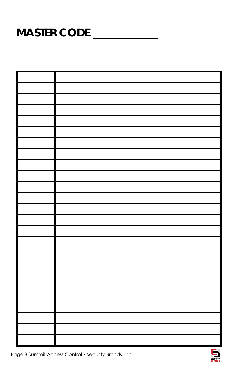# **MASTER CODE \_\_\_\_\_\_\_\_\_\_\_\_**

Page 8 Summit Access Control / Security Brands, Inc.

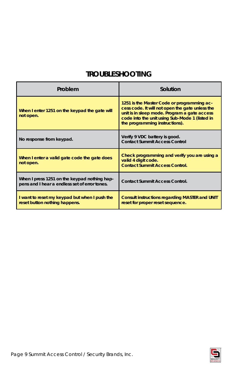# **Troubleshooting**

| Problem                                                                                       | Solution                                                                                                                                                                                                                          |
|-----------------------------------------------------------------------------------------------|-----------------------------------------------------------------------------------------------------------------------------------------------------------------------------------------------------------------------------------|
| When I enter 1251 on the keypad the gate will<br>not open.                                    | 1251 is the Master Code or programming ac-<br>cess code. It will not open the gate unless the<br>unit is in sleep mode. Program a gate access<br>code into the unit using Sub-Mode 1 (listed in<br>the programming instructions). |
| No response from keypad.                                                                      | Verify 9 VDC battery is good.<br><b>Contact Summit Access Control</b>                                                                                                                                                             |
| When I enter a valid gate code the gate does<br>not open.                                     | Check programming and verify you are using a<br>valid 4 digit code.<br><b>Contact Summit Access Control.</b>                                                                                                                      |
| When I press 1251 on the keypad nothing hap-<br>pens and I hear a endless set of error tones. | <b>Contact Summit Access Control.</b>                                                                                                                                                                                             |
| I want to reset my keypad but when I push the<br>reset button nothing happens.                | Consult instructions regarding MASTER and UNIT<br>reset for proper reset sequence.                                                                                                                                                |

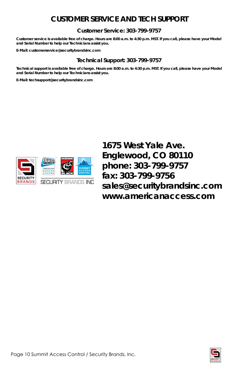## **Customer Service and Tech Support**

#### **Customer Service: 303-799-9757**

**Customer service is available free of charge. Hours are 8:00 a.m. to 4:30 p.m. MST. If you call, please have your Model and Serial Number to help our Technicians assist you.**

**E-Mail: customerservice@securitybrandsinc.com**

#### **Technical Support: 303-799-9757**

**Technical support is available free of charge. Hours are 8:00 a.m. to 4:30 p.m. MST. If you call, please have your Model and Serial Number to help our Technicians assist you.**

**E-Mail: techsupport@securitybrandsinc.com**



**1675 West Yale Ave. Englewood, CO 80110 phone: 303-799-9757 fax: 303-799-9756 sales@securitybrandsinc.com www.americanaccess.com**

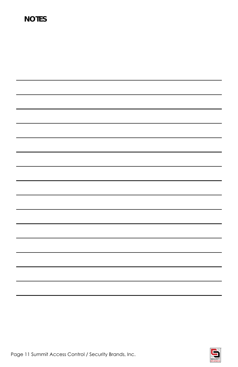# **Notes**